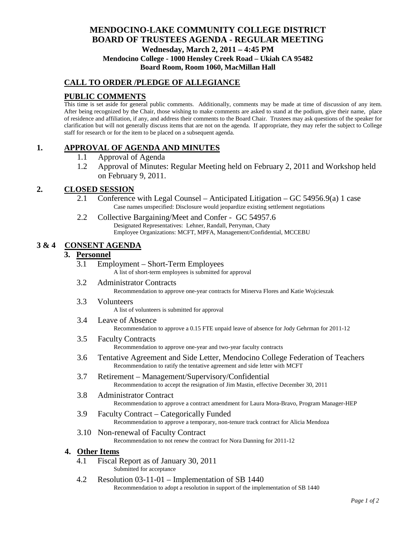# **MENDOCINO-LAKE COMMUNITY COLLEGE DISTRICT BOARD OF TRUSTEES AGENDA** - **REGULAR MEETING Wednesday, March 2, 2011 – 4:45 PM Mendocino College - 1000 Hensley Creek Road – Ukiah CA 95482 Board Room, Room 1060, MacMillan Hall**

## **CALL TO ORDER /PLEDGE OF ALLEGIANCE**

# **PUBLIC COMMENTS**

This time is set aside for general public comments. Additionally, comments may be made at time of discussion of any item. After being recognized by the Chair, those wishing to make comments are asked to stand at the podium, give their name, place of residence and affiliation, if any, and address their comments to the Board Chair. Trustees may ask questions of the speaker for clarification but will not generally discuss items that are not on the agenda. If appropriate, they may refer the subject to College staff for research or for the item to be placed on a subsequent agenda.

# **1. APPROVAL OF AGENDA AND MINUTES**

- 1.1 Approval of Agenda
- 1.2 Approval of Minutes: Regular Meeting held on February 2, 2011 and Workshop held on February 9, 2011.

## **2. CLOSED SESSION**

- 2.1 Conference with Legal Counsel Anticipated Litigation GC 54956.9(a) 1 case Case names unspecified: Disclosure would jeopardize existing settlement negotiations
- 2.2 Collective Bargaining/Meet and Confer GC 54957.6 Designated Representatives: Lehner, Randall, Perryman, Chaty Employee Organizations: MCFT, MPFA, Management/Confidential, MCCEBU

## **3 & 4 CONSENT AGENDA**

## **3. Personnel**

- 3.1 Employment Short-Term Employees A list of short-term employees is submitted for approval
- 3.2 Administrator Contracts

Recommendation to approve one-year contracts for Minerva Flores and Katie Wojcieszak

3.3 Volunteers

A list of volunteers is submitted for approval

3.4 Leave of Absence

Recommendation to approve a 0.15 FTE unpaid leave of absence for Jody Gehrman for 2011-12

- 3.5 Faculty Contracts Recommendation to approve one-year and two-year faculty contracts
- 3.6 Tentative Agreement and Side Letter, Mendocino College Federation of Teachers Recommendation to ratify the tentative agreement and side letter with MCFT
- 3.7 Retirement Management/Supervisory/Confidential Recommendation to accept the resignation of Jim Mastin, effective December 30, 2011
- 3.8 Administrator Contract Recommendation to approve a contract amendment for Laura Mora-Bravo, Program Manager-HEP
- 3.9 Faculty Contract Categorically Funded Recommendation to approve a temporary, non-tenure track contract for Alicia Mendoza
- 3.10 Non-renewal of Faculty Contract Recommendation to not renew the contract for Nora Danning for 2011-12

### **4. Other Items**

- 4.1 Fiscal Report as of January 30, 2011 Submitted for acceptance
- 4.2 Resolution 03-11-01 Implementation of SB 1440 Recommendation to adopt a resolution in support of the implementation of SB 1440